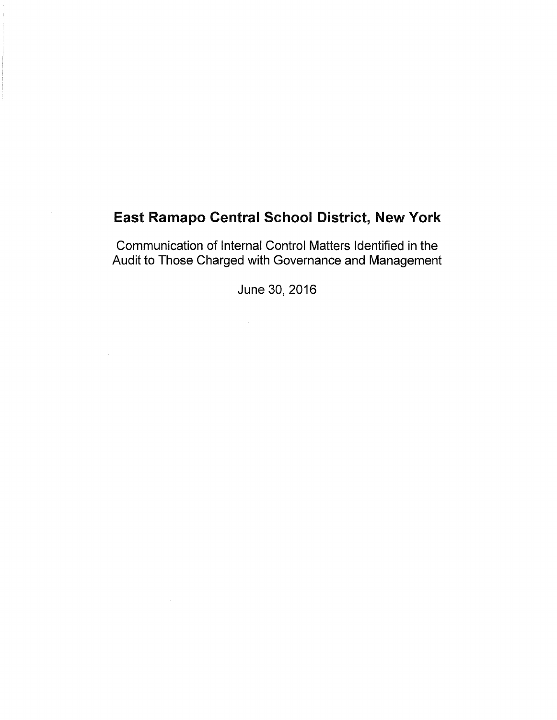Communication of Internal Control Matters Identified in the Audit to Those Charged with Governance and Management

June 30, 2016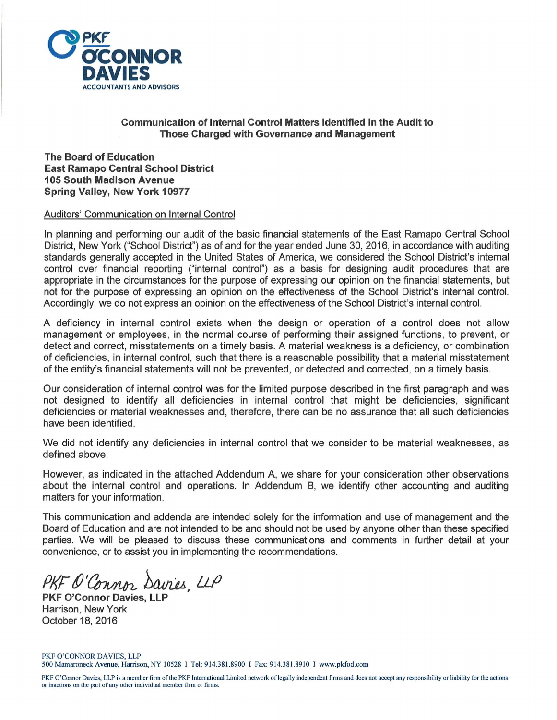

### **Communication of Internal Control Matters Identified in the Audit to Those Charged with Governance and Management**

**The Board of Education East Ramapo Central School District 105 South Madison Avenue Spring Valley, New York 10977** 

#### Auditors' Communication on Internal Control

In planning and performing our audit of the basic financial statements of the East Ramapo Central School District, New York ("School District") as of and for the year ended June 30, 2016, in accordance with auditing standards generally accepted in the United States of America, we considered the School District's internal control over financial reporting ("internal control") as a basis for designing audit procedures that are appropriate in the circumstances for the purpose of expressing our opinion on the financial statements, but not for the purpose of expressing an opinion on the effectiveness of the School District's internal control. Accordingly, we do not express an opinion on the effectiveness of the School District's internal control.

A deficiency in internal control exists when the design or operation of a control does not allow management or employees, in the normal course of performing their assigned functions, to prevent, or detect and correct, misstatements on a timely basis. A material weakness is a deficiency, or combination of deficiencies, in internal control, such that there is a reasonable possibility that a material misstatement of the entity's financial statements will not be prevented, or detected and corrected, on a timely basis.

Our consideration of internal control was for the limited purpose described in the first paragraph and was not designed to identify all deficiencies in internal control that might be deficiencies, significant deficiencies or material weaknesses and, therefore, there can be no assurance that all such deficiencies have been identified.

We did not identify any deficiencies in internal control that we consider to be material weaknesses, as defined above.

However, as indicated in the attached Addendum A, we share for your consideration other observations about the internal control and operations. In Addendum B, we identify other accounting and auditing matters for your information.

This communication and addenda are intended solely for the information and use of management and the Board of Education and are not intended to be and should not be used by anyone other than these specified parties. We will be pleased to discuss these communications and comments in further detail at your convenience, or to assist you in implementing the recommendations.

PKF O'Connor Davies, LLP

**PKF O'Connor Davies, LL** Harrison, New York October 18, 2016

PKF O'CONNOR DAVIES, LLP 500 Mamaroneck Avenue, Harrison, NY 10528 I Tel: 914.381.8900 I Fax: 914.381.8910 I www.pkfod.com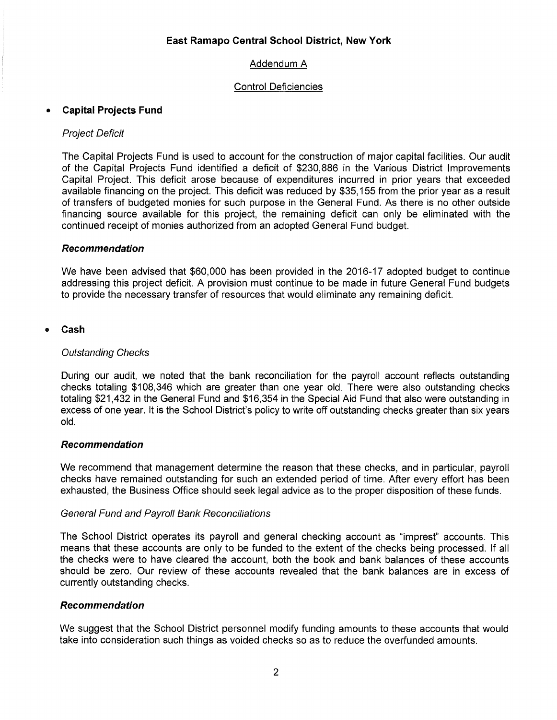### Control Deficiencies

### • **Capital Projects Fund**

### Project Deficit

The Capital Projects Fund is used to account for the construction of major capital facilities. Our audit of the Capital Projects Fund identified a deficit of \$230,886 in the Various District Improvements Capital Project. This deficit arose because of expenditures incurred in prior years that exceeded available financing on the project. This deficit was reduced by \$35, 155 from the prior year as a result of transfers of budgeted monies for such purpose in the General Fund. As there is no other outside financing source available for this project, the remaining deficit can only be eliminated with the continued receipt of monies authorized from an adopted General Fund budget.

#### **Recommendation**

We have been advised that \$60,000 has been provided in the 2016-17 adopted budget to continue addressing this project deficit. A provision must continue to be made in future General Fund budgets to provide the necessary transfer of resources that would eliminate any remaining deficit.

#### • **Cash**

#### Outstanding Checks

During our audit, we noted that the bank reconciliation for the payroll account reflects outstanding checks totaling \$108,346 which are greater than one year old. There were also outstanding checks totaling \$21,432 in the General Fund and \$16,354 in the Special Aid Fund that also were outstanding in excess of one year. It is the School District's policy to write off outstanding checks greater than six years old.

#### **Recommendation**

We recommend that management determine the reason that these checks, and in particular, payroll checks have remained outstanding for such an extended period of time. After every effort has been exhausted, the Business Office should seek legal advice as to the proper disposition of these funds.

#### General Fund and Payroll Bank Reconciliations

The School District operates its payroll and general checking account as "imprest" accounts. This means that these accounts are only to be funded to the extent of the checks being processed. If all the checks were to have cleared the account, both the book and bank balances of these accounts should be zero. Our review of these accounts revealed that the bank balances are in excess of currently outstanding checks.

#### **Recommendation**

We suggest that the School District personnel modify funding amounts to these accounts that would take into consideration such things as voided checks so as to reduce the overfunded amounts.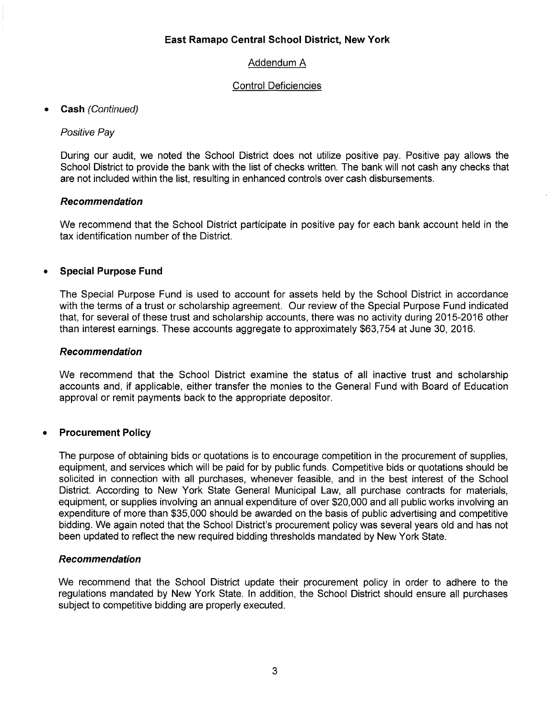### Control Deficiencies

### • **Cash** (Continued)

### Positive Pay

During our audit, we noted the School District does not utilize positive pay. Positive pay allows the School District to provide the bank with the list of checks written. The bank will not cash any checks that are not included within the list, resulting in enhanced controls over cash disbursements.

#### **Recommendation**

We recommend that the School District participate in positive pay for each bank account held in the tax identification number of the District.

### • **Special Purpose Fund**

The Special Purpose Fund is used to account for assets held by the School District in accordance with the terms of a trust or scholarship agreement. Our review of the Special Purpose Fund indicated that, for several of these trust and scholarship accounts, there was no activity during 2015-2016 other than interest earnings. These accounts aggregate to approximately \$63, 754 at June 30, 2016.

#### **Recommendation**

We recommend that the School District examine the status of all inactive trust and scholarship accounts and, if applicable, either transfer the monies to the General Fund with Board of Education approval or remit payments back to the appropriate depositor.

### • **Procurement Policy**

The purpose of obtaining bids or quotations is to encourage competition in the procurement of supplies, equipment, and services which will be paid for by public funds. Competitive bids or quotations should be solicited in connection with all purchases, whenever feasible, and in the best interest of the School District. According to New York State General Municipal Law, all purchase contracts for materials, equipment, or supplies involving an annual expenditure of over \$20,000 and all public works involving an expenditure of more than \$35,000 should be awarded on the basis of public advertising and competitive bidding. We again noted that the School District's procurement policy was several years old and has not been updated to reflect the new required bidding thresholds mandated by New York State.

#### **Recommendation**

We recommend that the School District update their procurement policy in order to adhere to the regulations mandated by New York State. In addition, the School District should ensure all purchases subject to competitive bidding are properly executed.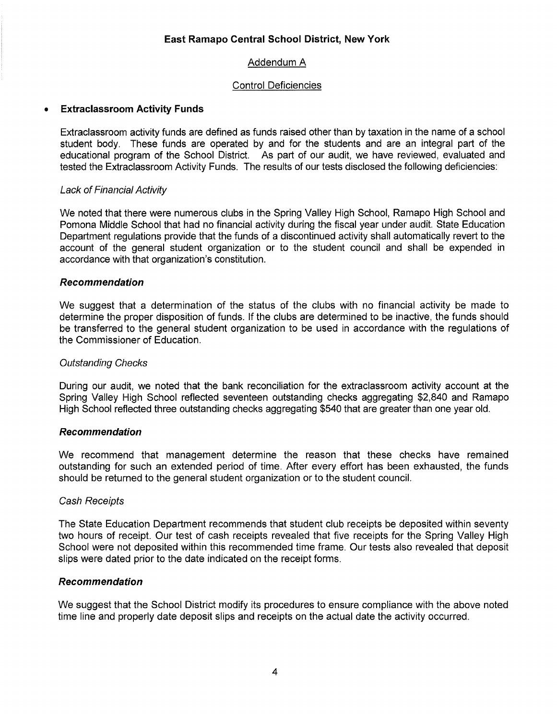### Control Deficiencies

### • **Extraclassroom Activity Funds**

Extraclassroom activity funds are defined as funds raised other than by taxation in the name of a school student body. These funds are operated by and for the students and are an integral part of the educational program of the School District. As part of our audit, we have reviewed, evaluated and tested the Extraclassroom Activity Funds. The results of our tests disclosed the following deficiencies:

### Lack of Financial Activity

We noted that there were numerous clubs in the Spring Valley High School, Ramapo High School and Pomona Middle School that had no financial activity during the fiscal year under audit. State Education Department regulations provide that the funds of a discontinued activity shall automatically revert to the account of the general student organization or to the student council and shall be expended in accordance with that organization's constitution.

### **Recommendation**

We suggest that a determination of the status of the clubs with no financial activity be made to determine the proper disposition of funds. If the clubs are determined to be inactive, the funds should be transferred to the general student organization to be used in accordance with the regulations of the Commissioner of Education.

### Outstanding Checks

During our audit, we noted that the bank reconciliation for the extraclassroom activity account at the Spring Valley High School reflected seventeen outstanding checks aggregating \$2,840 and Ramapo High School reflected three outstanding checks aggregating \$540 that are greater than one year old.

### **Recommendation**

We recommend that management determine the reason that these checks have remained outstanding for such an extended period of time. After every effort has been exhausted, the funds should be returned to the general student organization or to the student council.

### Cash Receipts

The State Education Department recommends that student club receipts be deposited within seventy two hours of receipt. Our test of cash receipts revealed that five receipts for the Spring Valley High School were not deposited within this recommended time frame. Our tests also revealed that deposit slips were dated prior to the date indicated on the receipt forms.

### **Recommendation**

We suggest that the School District modify its procedures to ensure compliance with the above noted time line and properly date deposit slips and receipts on the actual date the activity occurred.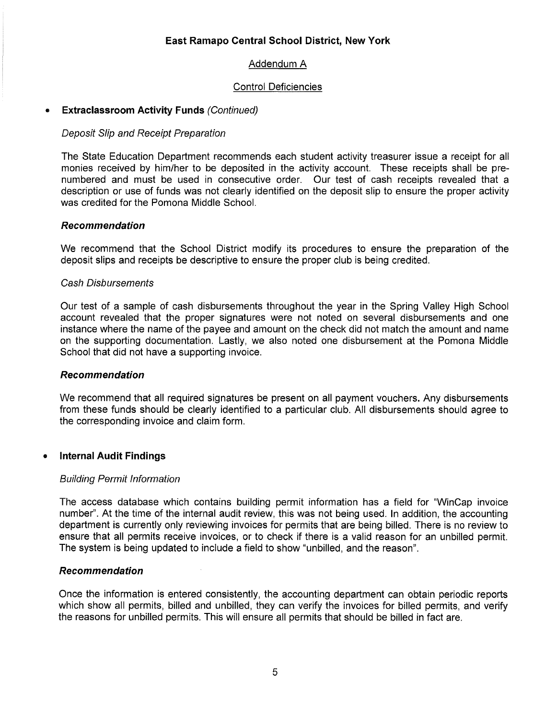### Control Deficiencies

### • **Extraclassroom Activity Funds** (Continued)

### Deposit Slip and Receipt Preparation

The State Education Department recommends each student activity treasurer issue a receipt for all monies received by him/her to be deposited in the activity account. These receipts shall be prenumbered and must be used in consecutive order. Our test of cash receipts revealed that a description or use of funds was not clearly identified on the deposit slip to ensure the proper activity was credited for the Pomona Middle School.

### **Recommendation**

We recommend that the School District modify its procedures to ensure the preparation of the deposit slips and receipts be descriptive to ensure the proper club is being credited.

### Cash Disbursements

Our test of a sample of cash disbursements throughout the year in the Spring Valley High School account revealed that the proper signatures were not noted on several disbursements and one instance where the name of the payee and amount on the check did not match the amount and name on the supporting documentation. Lastly, we also noted one disbursement at the Pomona Middle School that did not have a supporting invoice.

#### **Recommendation**

We recommend that all required signatures be present on all payment vouchers. Any disbursements from these funds should be clearly identified to a particular club. All disbursements should agree to the corresponding invoice and claim form.

### • **Internal Audit Findings**

#### Building Permit Information

The access database which contains building permit information has a field for "WinCap invoice number''. At the time of the internal audit review, this was not being used. In addition, the accounting department is currently only reviewing invoices for permits that are being billed. There is no review to ensure that all permits receive invoices, or to check if there is a valid reason for an unbilled permit. The system is being updated to include a field to show "unbilled, and the reason".

### **Recommendation**

Once the information is entered consistently, the accounting department can obtain periodic reports which show all permits, billed and unbilled, they can verify the invoices for billed permits, and verify the reasons for unbilled permits. This will ensure all permits that should be billed in fact are.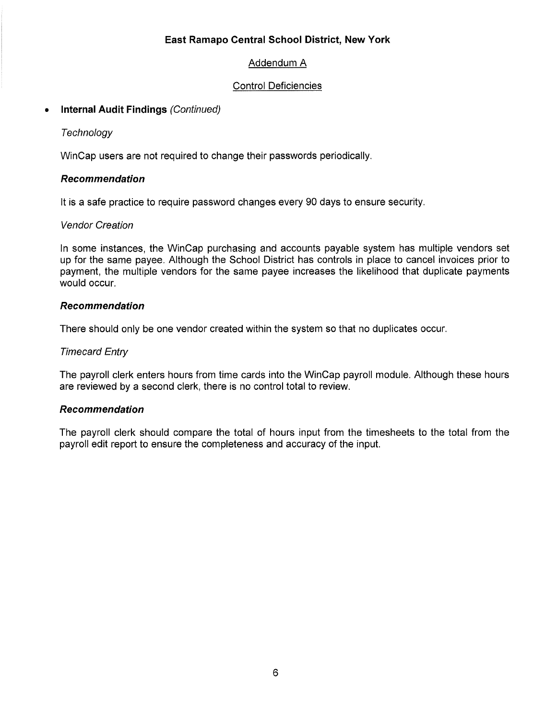### Addendum A

### Control Deficiencies

### • **Internal Audit Findings** (Continued)

### **Technology**

WinCap users are not required to change their passwords periodically.

### **Recommendation**

It is a safe practice to require password changes every 90 days to ensure security.

### Vendor Creation

In some instances, the WinCap purchasing and accounts payable system has multiple vendors set up for the same payee. Although the School District has controls in place to cancel invoices prior to payment, the multiple vendors for the same payee increases the likelihood that duplicate payments would occur.

### **Recommendation**

There should only be one vendor created within the system so that no duplicates occur.

### Timecard Entry

The payroll clerk enters hours from time cards into the WinCap payroll module. Although these hours are reviewed by a second clerk, there is no control total to review.

### **Recommendation**

The payroll clerk should compare the total of hours input from the timesheets to the total from the payroll edit report to ensure the completeness and accuracy of the input.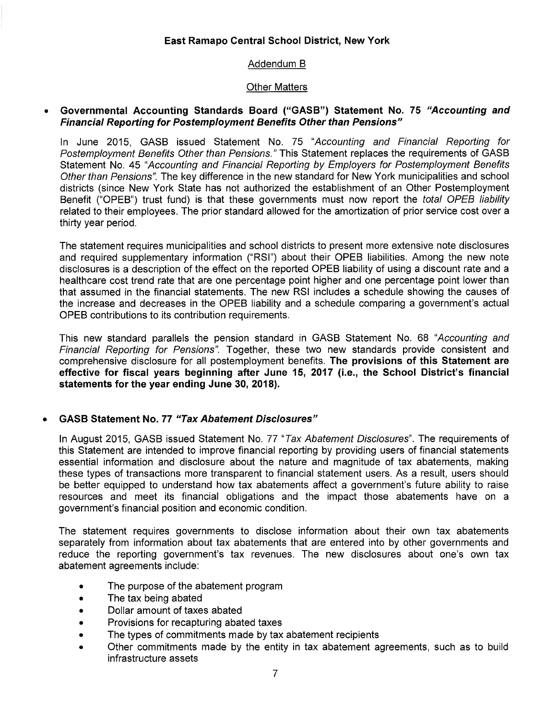### Addendum B

### Other Matters

#### • Governmental Accounting Standards Board ("GASB") Statement No. 75 "Accounting and Financial Reporting for Postemployment Benefits Other than Pensions"

In June 2015, GASS issued Statement No. 75 "Accounting and Financial Reporting for Postemployment Benefits Other than Pensions." This Statement replaces the requirements of GASS Statement No. 45 "Accounting and Financial Reporting by Employers for Postemployment Benefits Other than Pensions". The key difference in the new standard for New York municipalities and school districts (since New York State has not authorized the establishment of an Other Postemployment Benefit ("OPEB") trust fund) is that these governments must now report the *total OPEB liability* related to their employees. The prior standard allowed for the amortization of prior service cost over a thirty year period.

The statement requires municipalities and school districts to present more extensive note disclosures and required supplementary information ("RSI") about their OPES liabilities. Among the new note disclosures is a description of the effect on the reported OPES liability of using a discount rate and a healthcare cost trend rate that are one percentage point higher and one percentage point lower than that assumed in the financial statements. The new RSI includes a schedule showing the causes of the increase and decreases in the OPES liability and a schedule comparing a government's actual OPES contributions to its contribution requirements.

This new standard parallels the pension standard in GASS Statement No. 68 "Accounting and Financial Reporting for Pensions". Together, these two new standards provide consistent and comprehensive disclosure for all postemployment benefits. The provisions of this Statement are effective for fiscal years beginning after June 15, 2017 (i.e., the School District's financial statements for the year ending June 30, 2018).

### • GASB Statement No. 77 "Tax Abatement Disclosures"

In August 2015, GASB issued Statement No. 77 "Tax Abatement Disclosures". The requirements of this Statement are intended to improve financial reporting by providing users of financial statements essential information and disclosure about the nature and magnitude of tax abatements, making these types of transactions more transparent to financial statement users. As a result, users should be better equipped to understand how tax abatements affect a government's future ability to raise resources and meet its financial obligations and the impact those abatements have on a government's financial position and economic condition.

The statement requires governments to disclose information about their own tax abatements separately from information about tax abatements that are entered into by other governments and reduce the reporting government's tax revenues. The new disclosures about one's own tax abatement agreements include:

- The purpose of the abatement program
- The tax being abated
- Dollar amount of taxes abated
- Provisions for recapturing abated taxes
- The types of commitments made by tax abatement recipients
- Other commitments made by the entity in tax abatement agreements, such as to build infrastructure assets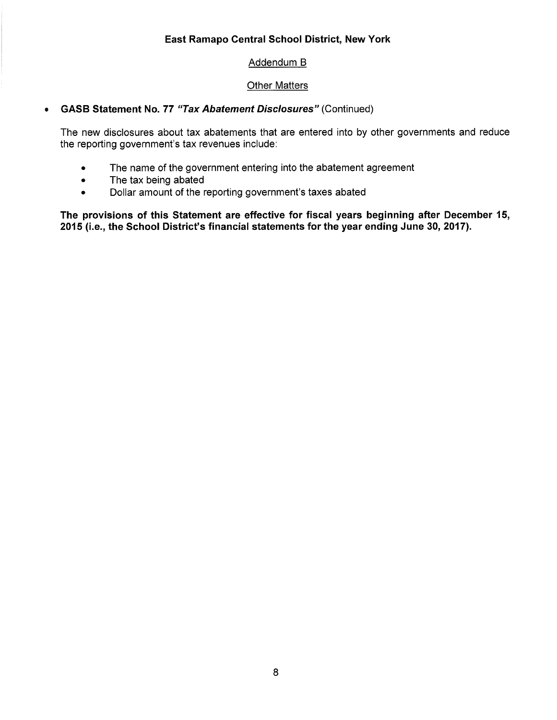### Addendum B

### Other Matters

### • GASB Statement No. 77 "Tax Abatement Disclosures" (Continued)

The new disclosures about tax abatements that are entered into by other governments and reduce the reporting government's tax revenues include:

- The name of the government entering into the abatement agreement
- The tax being abated
- Dollar amount of the reporting government's taxes abated

The provisions of this Statement are effective for fiscal years beginning after December 15, 2015 (i.e., the School District's financial statements for the year ending June 30, 2017).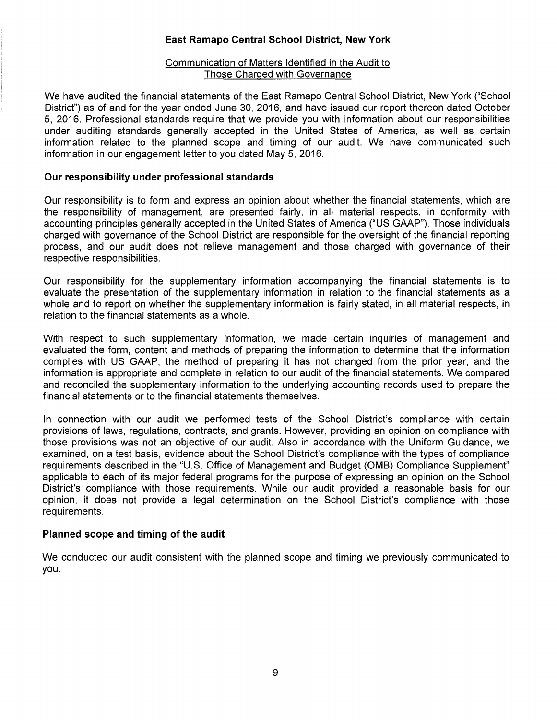#### Communication of Matters Identified in the Audit to Those Charged with Governance

We have audited the financial statements of the East Ramapo Central School District, New York ("School District") as of and for the year ended June 30, 2016, and have issued our report thereon dated October 5, 2016. Professional standards require that we provide you with information about our responsibilities under auditing standards generally accepted in the United States of America, as well as certain information related to the planned scope and timing of our audit. We have communicated such information in our engagement letter to you dated May 5, 2016.

### **Our responsibility under professional standards**

Our responsibility is to form and express an opinion about whether the financial statements, which are the responsibility of management, are presented fairly, in all material respects, in conformity with accounting principles generally accepted in the United States of America ("US GAAP"). Those individuals charged with governance of the School District are responsible for the oversight of the financial reporting process, and our audit does not relieve management and those charged with governance of their respective responsibilities.

Our responsibility for the supplementary information accompanying the financial statements is to evaluate the presentation of the supplementary information in relation to the financial statements as a whole and to report on whether the supplementary information is fairly stated, in all material respects, in relation to the financial statements as a whole.

With respect to such supplementary information, we made certain inquiries of management and evaluated the form, content and methods of preparing the information to determine that the information complies with US GAAP, the method of preparing it has not changed from the prior year, and the information is appropriate and complete in relation to our audit of the financial statements. We compared and reconciled the supplementary information to the underlying accounting records used to prepare the financial statements or to the financial statements themselves.

In connection with our audit we performed tests of the School District's compliance with certain provisions of laws, regulations, contracts, and grants. However, providing an opinion on compliance with those provisions was not an objective of our audit. Also in accordance with the Uniform Guidance, we examined, on a test basis, evidence about the School District's compliance with the types of compliance requirements described in the "U.S. Office of Management and Budget (OMB) Compliance Supplement" applicable to each of its major federal programs for the purpose of expressing an opinion on the School District's compliance with those requirements. While our audit provided a reasonable basis for our opinion, it does not provide a legal determination on the School District's compliance with those requirements.

#### **Planned scope and timing of the audit**

We conducted our audit consistent with the planned scope and timing we previously communicated to you.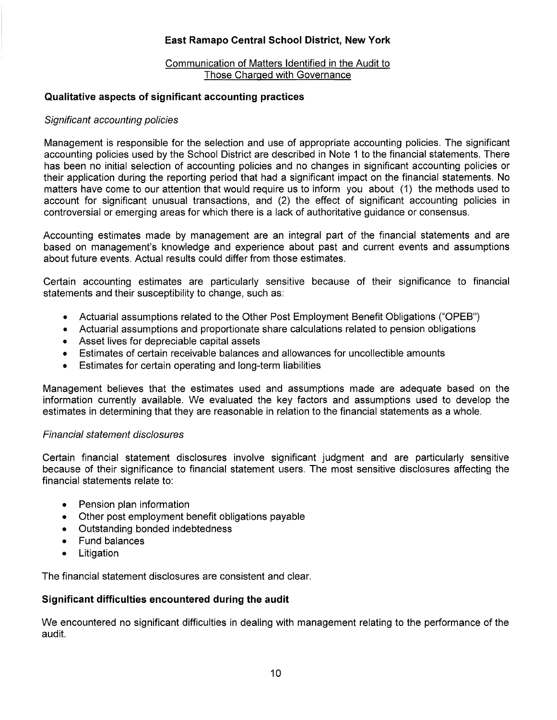#### Communication of Matters Identified in the Audit to Those Charged with Governance

### **Qualitative aspects of significant accounting practices**

### Significant accounting policies

Management is responsible for the selection and use of appropriate accounting policies. The significant accounting policies used by the School District are described in Note 1 to the financial statements. There has been no initial selection of accounting policies and no changes in significant accounting policies or their application during the reporting period that had a significant impact on the financial statements. No matters have come to our attention that would require us to inform you about (1) the methods used to account for significant unusual transactions, and (2) the effect of significant accounting policies in controversial or emerging areas for which there is a lack of authoritative guidance or consensus.

Accounting estimates made by management are an integral part of the financial statements and are based on management's knowledge and experience about past and current events and assumptions about future events. Actual results could differ from those estimates.

Certain accounting estimates are particularly sensitive because of their significance to financial statements and their susceptibility to change, such as:

- Actuarial assumptions related to the Other Post Employment Benefit Obligations ("OPEB")
- Actuarial assumptions and proportionate share calculations related to pension obligations
- Asset lives for depreciable capital assets
- Estimates of certain receivable balances and allowances for uncollectible amounts
- Estimates for certain operating and long-term liabilities

Management believes that the estimates used and assumptions made are adequate based on the information currently available. We evaluated the key factors and assumptions used to develop the estimates in determining that they are reasonable in relation to the financial statements as a whole.

### Financial statement disclosures

Certain financial statement disclosures involve significant judgment and are particularly sensitive because of their significance to financial statement users. The most sensitive disclosures affecting the financial statements relate to:

- Pension plan information
- Other post employment benefit obligations payable
- Outstanding bonded indebtedness
- Fund balances
- Litigation

The financial statement disclosures are consistent and clear.

### **Significant difficulties encountered during the audit**

We encountered no significant difficulties in dealing with management relating to the performance of the audit.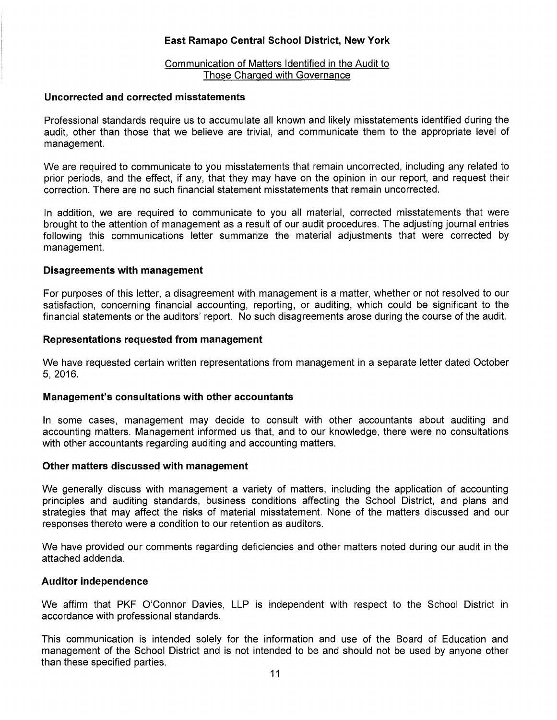#### Communication of Matters Identified in the Audit to Those Charged with Governance

#### **Uncorrected and corrected misstatements**

Professional standards require us to accumulate all known and likely misstatements identified during the audit, other than those that we believe are trivial, and communicate them to the appropriate level of management.

We are required to communicate to you misstatements that remain uncorrected, including any related to prior periods, and the effect, if any, that they may have on the opinion in our report, and request their correction. There are no such financial statement misstatements that remain uncorrected.

In addition, we are required to communicate to you all material, corrected misstatements that were brought to the attention of management as a result of our audit procedures. The adjusting journal entries following this communications letter summarize the material adjustments that were corrected by management.

#### **Disagreements with management**

For purposes of this letter, a disagreement with management is a matter, whether or not resolved to our satisfaction, concerning financial accounting, reporting, or auditing, which could be significant to the financial statements or the auditors' report. No such disagreements arose during the course of the audit.

#### **Representations requested from management**

We have requested certain written representations from management in a separate letter dated October 5, 2016.

#### **Management's consultations with other accountants**

In some cases, management may decide to consult with other accountants about auditing and accounting matters. Management informed us that, and to our knowledge, there were no consultations with other accountants regarding auditing and accounting matters.

#### **Other matters discussed with management**

We generally discuss with management a variety of matters, including the application of accounting principles and auditing standards, business conditions affecting the School District, and plans and strategies that may affect the risks of material misstatement. None of the matters discussed and our responses thereto were a condition to our retention as auditors.

We have provided our comments regarding deficiencies and other matters noted during our audit in the attached addenda.

#### **Auditor independence**

We affirm that PKF O'Connor Davies, LLP is independent with respect to the School District in accordance with professional standards.

This communication is intended solely for the information and use of the Board of Education and management of the School District and is not intended to be and should not be used by anyone other than these specified parties.